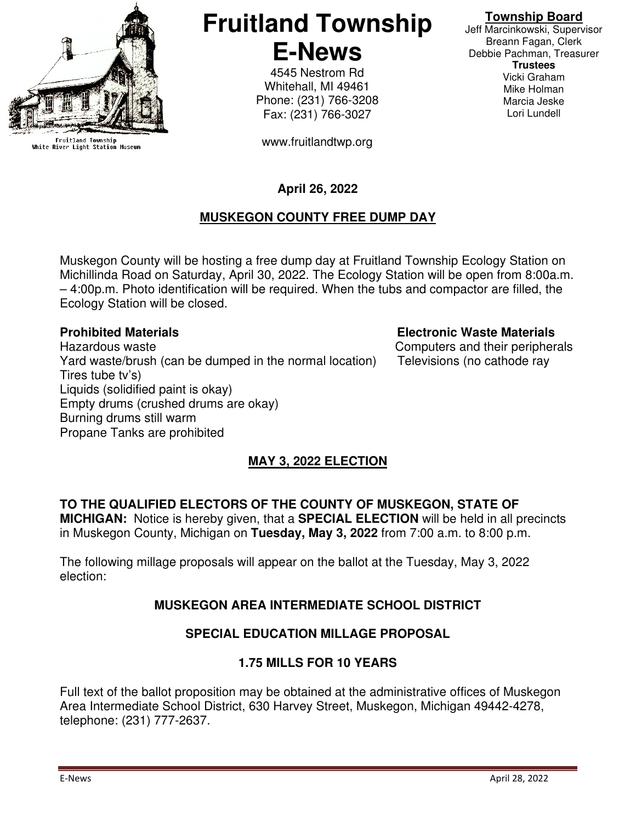

Fruitland Township<br>White River Light Station Museum

# **Fruitland Township E-News**

4545 Nestrom Rd Whitehall, MI 49461 Phone: (231) 766-3208 Fax: (231) 766-3027

www.fruitlandtwp.org

# **Township Board**

Jeff Marcinkowski, Supervisor Breann Fagan, Clerk Debbie Pachman, Treasurer **Trustees**  Vicki Graham Mike Holman Marcia Jeske Lori Lundell

# **April 26, 2022**

# **MUSKEGON COUNTY FREE DUMP DAY**

Muskegon County will be hosting a free dump day at Fruitland Township Ecology Station on Michillinda Road on Saturday, April 30, 2022. The Ecology Station will be open from 8:00a.m. – 4:00p.m. Photo identification will be required. When the tubs and compactor are filled, the Ecology Station will be closed.

Hazardous waste Computers and their peripherals Yard waste/brush (can be dumped in the normal location) Televisions (no cathode ray Tires tube tv's) Liquids (solidified paint is okay) Empty drums (crushed drums are okay) Burning drums still warm Propane Tanks are prohibited

## **Prohibited Materials Electronic Waste Materials**

# **MAY 3, 2022 ELECTION**

# **TO THE QUALIFIED ELECTORS OF THE COUNTY OF MUSKEGON, STATE OF**

**MICHIGAN:** Notice is hereby given, that a **SPECIAL ELECTION** will be held in all precincts in Muskegon County, Michigan on **Tuesday, May 3, 2022** from 7:00 a.m. to 8:00 p.m.

The following millage proposals will appear on the ballot at the Tuesday, May 3, 2022 election:

# **MUSKEGON AREA INTERMEDIATE SCHOOL DISTRICT**

#### **SPECIAL EDUCATION MILLAGE PROPOSAL**

#### **1.75 MILLS FOR 10 YEARS**

Full text of the ballot proposition may be obtained at the administrative offices of Muskegon Area Intermediate School District, 630 Harvey Street, Muskegon, Michigan 49442-4278, telephone: (231) 777-2637.